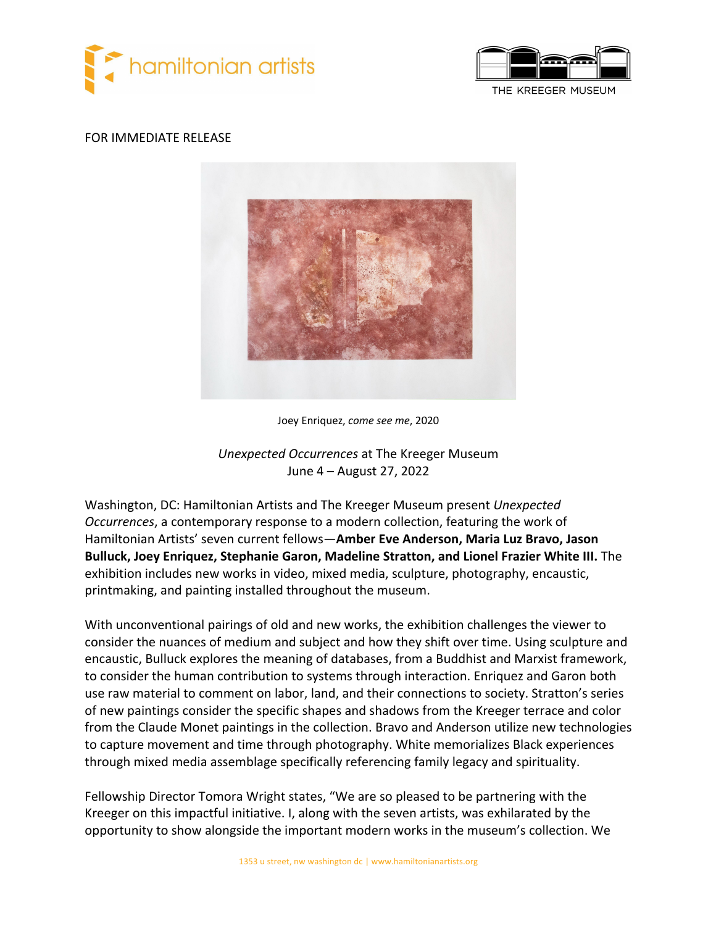



#### FOR IMMEDIATE RELEASE



Joey Enriquez, *come see me*, 2020

# *Unexpected Occurrences* at The Kreeger Museum June 4 – August 27, 2022

Washington, DC: Hamiltonian Artists and The Kreeger Museum present *Unexpected Occurrences*, a contemporary response to a modern collection, featuring the work of Hamiltonian Artists' seven current fellows—**Amber Eve Anderson, Maria Luz Bravo, Jason Bulluck, Joey Enriquez, Stephanie Garon, Madeline Stratton, and Lionel Frazier White III.** The exhibition includes new works in video, mixed media, sculpture, photography, encaustic, printmaking, and painting installed throughout the museum.

With unconventional pairings of old and new works, the exhibition challenges the viewer to consider the nuances of medium and subject and how they shift over time. Using sculpture and encaustic, Bulluck explores the meaning of databases, from a Buddhist and Marxist framework, to consider the human contribution to systems through interaction. Enriquez and Garon both use raw material to comment on labor, land, and their connections to society. Stratton's series of new paintings consider the specific shapes and shadows from the Kreeger terrace and color from the Claude Monet paintings in the collection. Bravo and Anderson utilize new technologies to capture movement and time through photography. White memorializes Black experiences through mixed media assemblage specifically referencing family legacy and spirituality.

Fellowship Director Tomora Wright states, "We are so pleased to be partnering with the Kreeger on this impactful initiative. I, along with the seven artists, was exhilarated by the opportunity to show alongside the important modern works in the museum's collection. We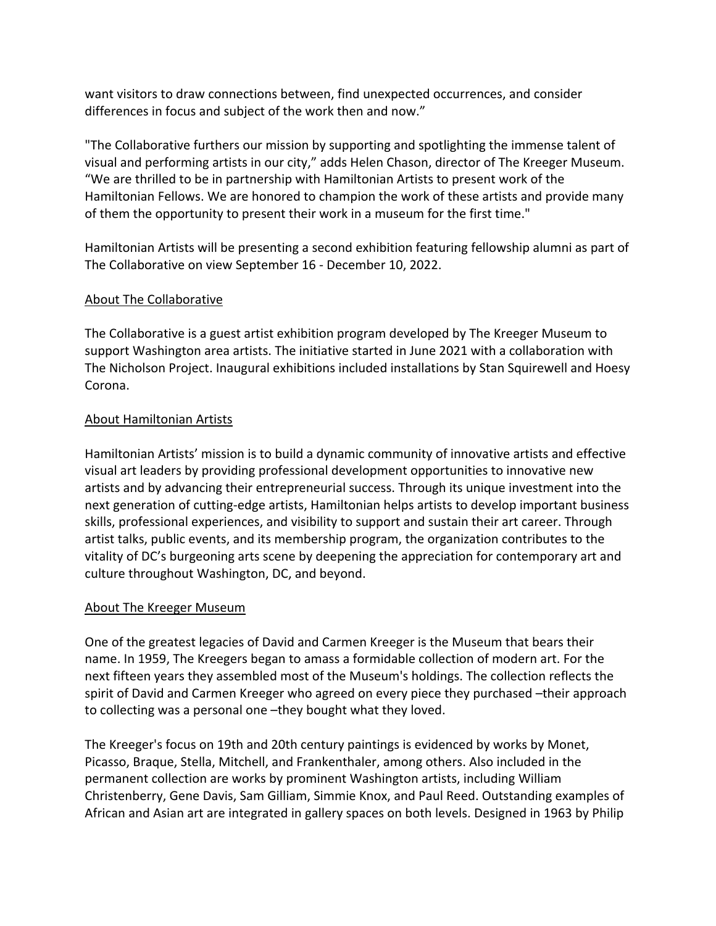want visitors to draw connections between, find unexpected occurrences, and consider differences in focus and subject of the work then and now."

"The Collaborative furthers our mission by supporting and spotlighting the immense talent of visual and performing artists in our city," adds Helen Chason, director of The Kreeger Museum. "We are thrilled to be in partnership with Hamiltonian Artists to present work of the Hamiltonian Fellows. We are honored to champion the work of these artists and provide many of them the opportunity to present their work in a museum for the first time."

Hamiltonian Artists will be presenting a second exhibition featuring fellowship alumni as part of The Collaborative on view September 16 - December 10, 2022.

# About The Collaborative

The Collaborative is a guest artist exhibition program developed by The Kreeger Museum to support Washington area artists. The initiative started in June 2021 with a collaboration with The Nicholson Project. Inaugural exhibitions included installations by Stan Squirewell and Hoesy Corona.

# About Hamiltonian Artists

Hamiltonian Artists' mission is to build a dynamic community of innovative artists and effective visual art leaders by providing professional development opportunities to innovative new artists and by advancing their entrepreneurial success. Through its unique investment into the next generation of cutting-edge artists, Hamiltonian helps artists to develop important business skills, professional experiences, and visibility to support and sustain their art career. Through artist talks, public events, and its membership program, the organization contributes to the vitality of DC's burgeoning arts scene by deepening the appreciation for contemporary art and culture throughout Washington, DC, and beyond.

### About The Kreeger Museum

One of the greatest legacies of David and Carmen Kreeger is the Museum that bears their name. In 1959, The Kreegers began to amass a formidable collection of modern art. For the next fifteen years they assembled most of the Museum's holdings. The collection reflects the spirit of David and Carmen Kreeger who agreed on every piece they purchased –their approach to collecting was a personal one –they bought what they loved.

The Kreeger's focus on 19th and 20th century paintings is evidenced by works by Monet, Picasso, Braque, Stella, Mitchell, and Frankenthaler, among others. Also included in the permanent collection are works by prominent Washington artists, including William Christenberry, Gene Davis, Sam Gilliam, Simmie Knox, and Paul Reed. Outstanding examples of African and Asian art are integrated in gallery spaces on both levels. Designed in 1963 by Philip